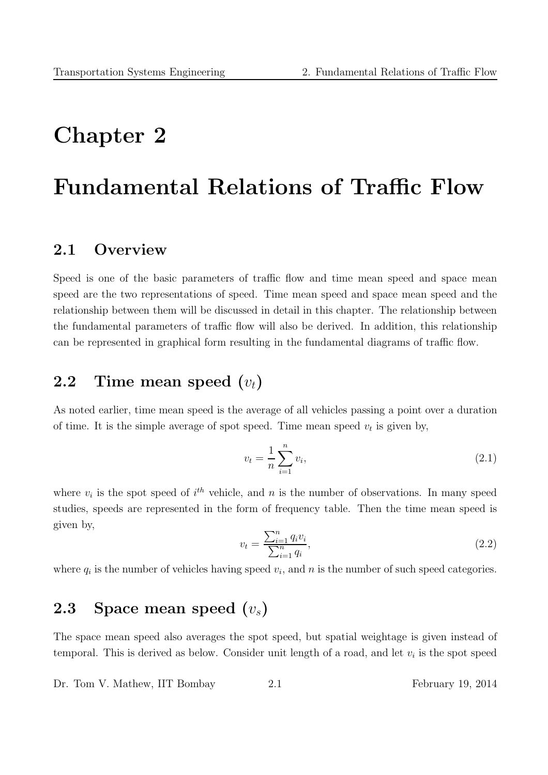# Chapter 2

# Fundamental Relations of Traffic Flow

### 2.1 Overview

Speed is one of the basic parameters of traffic flow and time mean speed and space mean speed are the two representations of speed. Time mean speed and space mean speed and the relationship between them will be discussed in detail in this chapter. The relationship between the fundamental parameters of traffic flow will also be derived. In addition, this relationship can be represented in graphical form resulting in the fundamental diagrams of traffic flow.

# 2.2 Time mean speed  $(v_t)$

As noted earlier, time mean speed is the average of all vehicles passing a point over a duration of time. It is the simple average of spot speed. Time mean speed  $v_t$  is given by,

$$
v_t = \frac{1}{n} \sum_{i=1}^{n} v_i,
$$
\n(2.1)

where  $v_i$  is the spot speed of  $i^{th}$  vehicle, and n is the number of observations. In many speed studies, speeds are represented in the form of frequency table. Then the time mean speed is given by,

$$
v_t = \frac{\sum_{i=1}^n q_i v_i}{\sum_{i=1}^n q_i},\tag{2.2}
$$

where  $q_i$  is the number of vehicles having speed  $v_i$ , and n is the number of such speed categories.

# 2.3 Space mean speed  $(v_s)$

The space mean speed also averages the spot speed, but spatial weightage is given instead of temporal. This is derived as below. Consider unit length of a road, and let  $v_i$  is the spot speed

Dr. Tom V. Mathew, IIT Bombay 2.1 February 19, 2014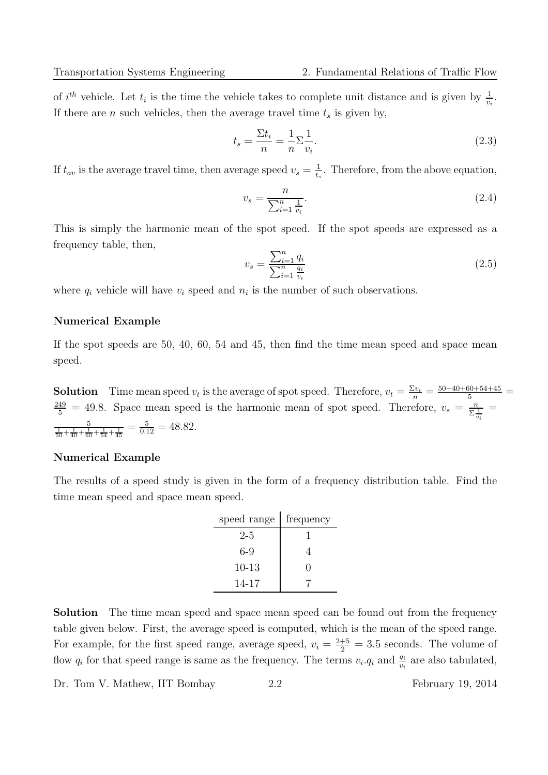of  $i^{th}$  vehicle. Let  $t_i$  is the time the vehicle takes to complete unit distance and is given by  $\frac{1}{v_i}$ . If there are *n* such vehicles, then the average travel time  $t_s$  is given by,

$$
t_s = \frac{\Sigma t_i}{n} = \frac{1}{n} \Sigma \frac{1}{v_i}.\tag{2.3}
$$

If  $t_{av}$  is the average travel time, then average speed  $v_s = \frac{1}{t_s}$  $\frac{1}{t_s}$ . Therefore, from the above equation,

$$
v_s = \frac{n}{\sum_{i=1}^n \frac{1}{v_i}}.\tag{2.4}
$$

This is simply the harmonic mean of the spot speed. If the spot speeds are expressed as a frequency table, then,

$$
v_s = \frac{\sum_{i=1}^n q_i}{\sum_{i=1}^n \frac{q_i}{v_i}}
$$
\n(2.5)

where  $q_i$  vehicle will have  $v_i$  speed and  $n_i$  is the number of such observations.

#### Numerical Example

If the spot speeds are 50, 40, 60, 54 and 45, then find the time mean speed and space mean speed.

**Solution** Time mean speed  $v_t$  is the average of spot speed. Therefore,  $v_t = \frac{\Sigma v_i}{n} = \frac{50+40+60+54+45}{5}$  $\frac{249}{5}$  = 49.8. Space mean speed is the harmonic mean of spot speed. Therefore,  $v_s = \frac{n}{\Sigma^2}$  $\Sigma \frac{1}{v_i}$ =  $\frac{5}{\frac{1}{50} + \frac{1}{40} + \frac{1}{60} + \frac{1}{54} + \frac{1}{45}} = \frac{5}{0.12} = 48.82.$ 

#### Numerical Example

The results of a speed study is given in the form of a frequency distribution table. Find the time mean speed and space mean speed.

| speed range | frequency |
|-------------|-----------|
| $2 - 5$     |           |
| 6-9         |           |
| $10 - 13$   | 0         |
| 14-17       |           |

Solution The time mean speed and space mean speed can be found out from the frequency table given below. First, the average speed is computed, which is the mean of the speed range. For example, for the first speed range, average speed,  $v_i = \frac{2+5}{2} = 3.5$  seconds. The volume of flow  $q_i$  for that speed range is same as the frequency. The terms  $v_i.q_i$  and  $\frac{q_i}{v_i}$  are also tabulated,

Dr. Tom V. Mathew, IIT Bombay 2.2 February 19, 2014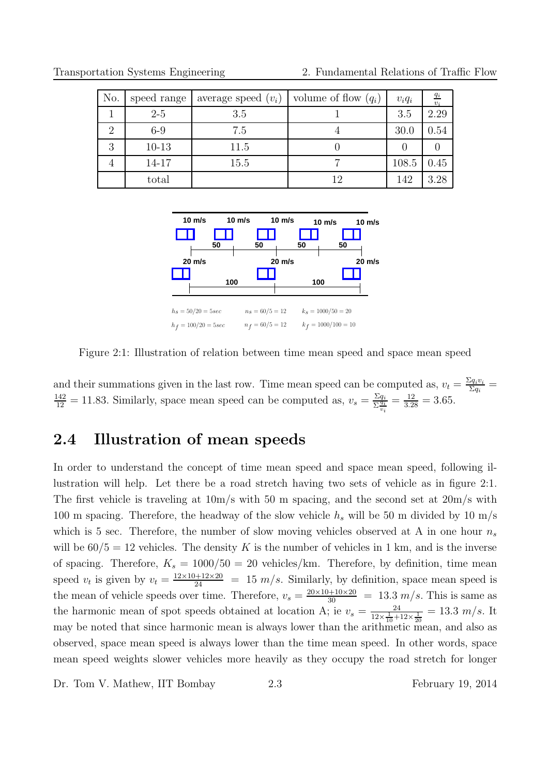| No.                         | speed range | average speed $(v_i)$ | volume of flow $(q_i)$ | $v_iq_i$ | $\frac{q_i}{v_i}$ |
|-----------------------------|-------------|-----------------------|------------------------|----------|-------------------|
|                             | $2-5$       | 3.5                   |                        | 3.5      | 2.29              |
| $\mathcal{D}_{\mathcal{L}}$ | $6-9$       | 7.5                   |                        | 30.0     | 0.54              |
| 3                           | $10-13$     | 11.5                  |                        |          |                   |
|                             | 14-17       | 15.5                  |                        | 108.5    | 0.45              |
|                             | total       |                       | 12                     | 142      | 3.28              |

Transportation Systems Engineering 2. Fundamental Relations of Traffic Flow



Figure 2:1: Illustration of relation between time mean speed and space mean speed

and their summations given in the last row. Time mean speed can be computed as,  $v_t = \frac{\sum q_i v_i}{\sum q_i}$  $\frac{q_i v_i}{\Sigma q_i} =$  $\frac{142}{12} = 11.83$ . Similarly, space mean speed can be computed as,  $v_s = \frac{\sum q_i}{\sum \frac{q_i}{n}}$  $\Sigma \frac{\ddot{q}_i}{v_i}$  $=\frac{12}{3.28} = 3.65.$ 

# 2.4 Illustration of mean speeds

In order to understand the concept of time mean speed and space mean speed, following illustration will help. Let there be a road stretch having two sets of vehicle as in figure 2:1. The first vehicle is traveling at 10m/s with 50 m spacing, and the second set at 20m/s with 100 m spacing. Therefore, the headway of the slow vehicle  $h_s$  will be 50 m divided by 10 m/s which is 5 sec. Therefore, the number of slow moving vehicles observed at A in one hour  $n_s$ will be  $60/5 = 12$  vehicles. The density K is the number of vehicles in 1 km, and is the inverse of spacing. Therefore,  $K_s = 1000/50 = 20$  vehicles/km. Therefore, by definition, time mean speed  $v_t$  is given by  $v_t = \frac{12 \times 10 + 12 \times 20}{24} = 15 \frac{m}{s}$ . Similarly, by definition, space mean speed is the mean of vehicle speeds over time. Therefore,  $v_s = \frac{20 \times 10 + 10 \times 20}{30} = 13.3 \ m/s$ . This is same as the harmonic mean of spot speeds obtained at location A; ie  $v_s = \frac{24}{12 \times 1 + 1}$  $\frac{24}{12\times\frac{1}{10}+12\times\frac{1}{20}}=13.3 \; m/s.$  It may be noted that since harmonic mean is always lower than the arithmetic mean, and also as observed, space mean speed is always lower than the time mean speed. In other words, space mean speed weights slower vehicles more heavily as they occupy the road stretch for longer

Dr. Tom V. Mathew, IIT Bombay 2.3 February 19, 2014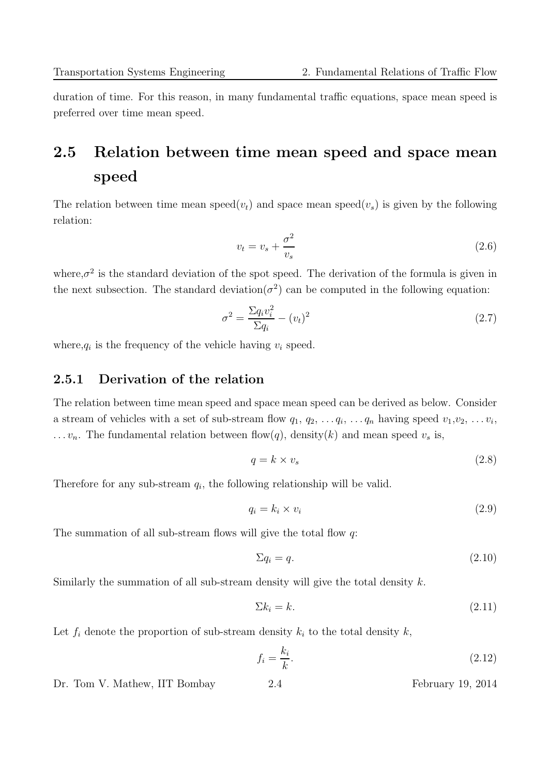duration of time. For this reason, in many fundamental traffic equations, space mean speed is preferred over time mean speed.

# 2.5 Relation between time mean speed and space mean speed

The relation between time mean speed $(v_t)$  and space mean speed $(v_s)$  is given by the following relation:

$$
v_t = v_s + \frac{\sigma^2}{v_s} \tag{2.6}
$$

where, $\sigma^2$  is the standard deviation of the spot speed. The derivation of the formula is given in the next subsection. The standard deviation  $(\sigma^2)$  can be computed in the following equation:

$$
\sigma^2 = \frac{\Sigma q_i v_i^2}{\Sigma q_i} - (v_t)^2 \tag{2.7}
$$

where,  $q_i$  is the frequency of the vehicle having  $v_i$  speed.

#### 2.5.1 Derivation of the relation

The relation between time mean speed and space mean speed can be derived as below. Consider a stream of vehicles with a set of sub-stream flow  $q_1, q_2, \ldots q_i, \ldots q_n$  having speed  $v_1, v_2, \ldots v_i$ ,  $\dots v_n$ . The fundamental relation between flow(q), density(k) and mean speed  $v_s$  is,

$$
q = k \times v_s \tag{2.8}
$$

Therefore for any sub-stream  $q_i$ , the following relationship will be valid.

$$
q_i = k_i \times v_i \tag{2.9}
$$

The summation of all sub-stream flows will give the total flow q:

$$
\Sigma q_i = q. \tag{2.10}
$$

Similarly the summation of all sub-stream density will give the total density  $k$ .

$$
\Sigma k_i = k. \tag{2.11}
$$

Let  $f_i$  denote the proportion of sub-stream density  $k_i$  to the total density  $k$ ,

$$
f_i = \frac{k_i}{k}.\tag{2.12}
$$

Dr. Tom V. Mathew, IIT Bombay 2.4 February 19, 2014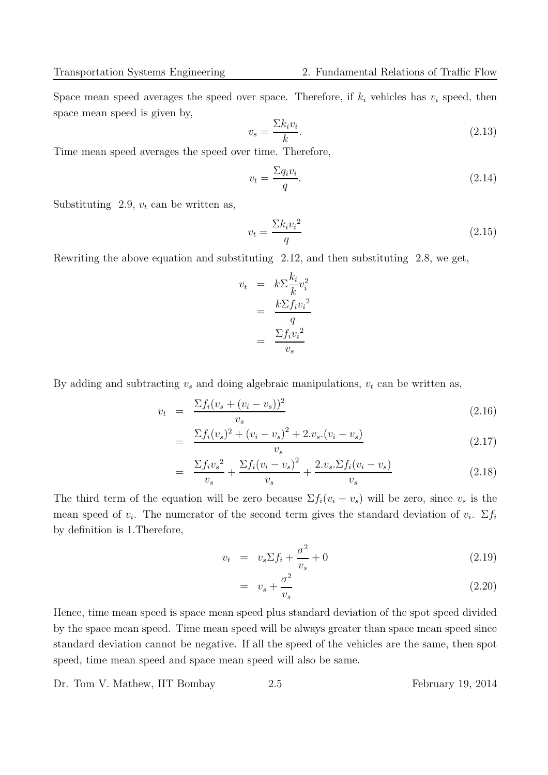Space mean speed averages the speed over space. Therefore, if  $k_i$  vehicles has  $v_i$  speed, then space mean speed is given by,

$$
v_s = \frac{\sum k_i v_i}{k}.\tag{2.13}
$$

Time mean speed averages the speed over time. Therefore,

$$
v_t = \frac{\sum q_i v_i}{q}.\tag{2.14}
$$

Substituting 2.9,  $v_t$  can be written as,

$$
v_t = \frac{\sum k_i v_i^2}{q} \tag{2.15}
$$

Rewriting the above equation and substituting 2.12, and then substituting 2.8, we get,

$$
v_t = k \sum_{k=0}^{n} v_i^2
$$

$$
= \frac{k \sum f_i v_i^2}{q}
$$

$$
= \frac{\sum f_i v_i^2}{v_s}
$$

By adding and subtracting  $v_s$  and doing algebraic manipulations,  $v_t$  can be written as,

$$
v_t = \frac{\sum f_i (v_s + (v_i - v_s))^2}{v_s} \tag{2.16}
$$

$$
= \frac{\sum f_i(v_s)^2 + (v_i - v_s)^2 + 2.v_s.(v_i - v_s)}{v_s} \tag{2.17}
$$

$$
= \frac{\sum f_i v_s^2}{v_s} + \frac{\sum f_i (v_i - v_s)^2}{v_s} + \frac{2.v_s \cdot \sum f_i (v_i - v_s)}{v_s} \tag{2.18}
$$

The third term of the equation will be zero because  $\Sigma f_i(v_i - v_s)$  will be zero, since  $v_s$  is the mean speed of  $v_i$ . The numerator of the second term gives the standard deviation of  $v_i$ .  $\Sigma f_i$ by definition is 1.Therefore,

$$
v_t = v_s \Sigma f_i + \frac{\sigma^2}{v_s} + 0 \tag{2.19}
$$

$$
= v_s + \frac{\sigma^2}{v_s} \tag{2.20}
$$

Hence, time mean speed is space mean speed plus standard deviation of the spot speed divided by the space mean speed. Time mean speed will be always greater than space mean speed since standard deviation cannot be negative. If all the speed of the vehicles are the same, then spot speed, time mean speed and space mean speed will also be same.

Dr. Tom V. Mathew, IIT Bombay 2.5 February 19, 2014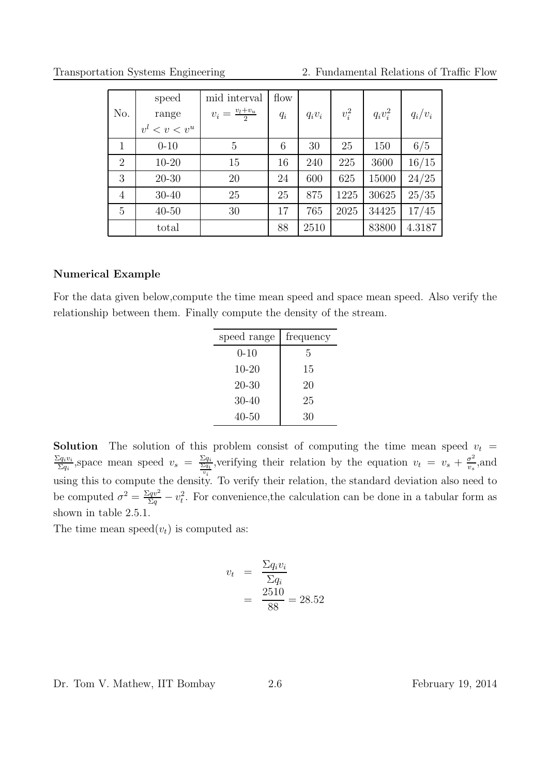Transportation Systems Engineering 2. Fundamental Relations of Traffic Flow

| No.            | speed<br>range<br>$v^l < v < v^u$ | mid interval<br>$v_i = \frac{v_l + v_u}{2}$ | flow<br>$q_i$ | $q_i v_i$ | $v_i^2$ | $q_i v_i^2$ | $q_i/v_i$ |
|----------------|-----------------------------------|---------------------------------------------|---------------|-----------|---------|-------------|-----------|
| $\mathbf{1}$   | $0 - 10$                          | 5                                           | 6             | 30        | 25      | 150         | 6/5       |
| $\overline{2}$ | $10 - 20$                         | 15                                          | 16            | 240       | 225     | 3600        | 16/15     |
| 3              | $20 - 30$                         | 20                                          | 24            | 600       | 625     | 15000       | 24/25     |
| $\overline{4}$ | 30-40                             | 25                                          | 25            | 875       | 1225    | 30625       | 25/35     |
| $\overline{5}$ | $40 - 50$                         | 30                                          | 17            | 765       | 2025    | 34425       | 17/45     |
|                | total                             |                                             | 88            | 2510      |         | 83800       | 4.3187    |

#### Numerical Example

For the data given below,compute the time mean speed and space mean speed. Also verify the relationship between them. Finally compute the density of the stream.

| speed range | frequency |
|-------------|-----------|
| $0 - 10$    | 5         |
| $10 - 20$   | 15        |
| $20 - 30$   | 20        |
| $30 - 40$   | 25        |
| 40-50       | 30        |

**Solution** The solution of this problem consist of computing the time mean speed  $v_t$  =  $\Sigma q_i v_i$  $\frac{\Sigma q_i v_i}{\Sigma q_i}$ , space mean speed  $v_s = \frac{\Sigma q_i}{\Sigma q_i}$ , verifying their relation by the equation  $v_t = v_s + \frac{\sigma^2}{v_s}$ using this to compute the density. To verify their relation, the standard deviation also need to  $\frac{\sigma^2}{v_s}$ , and be computed  $\sigma^2 = \frac{\Sigma qv^2}{\Sigma q} - v_t^2$ . For convenience, the calculation can be done in a tabular form as shown in table 2.5.1.

The time mean speed $(v_t)$  is computed as:

$$
v_t = \frac{\Sigma q_i v_i}{\Sigma q_i}
$$

$$
= \frac{2510}{88} = 28.52
$$

Dr. Tom V. Mathew, IIT Bombay 2.6 February 19, 2014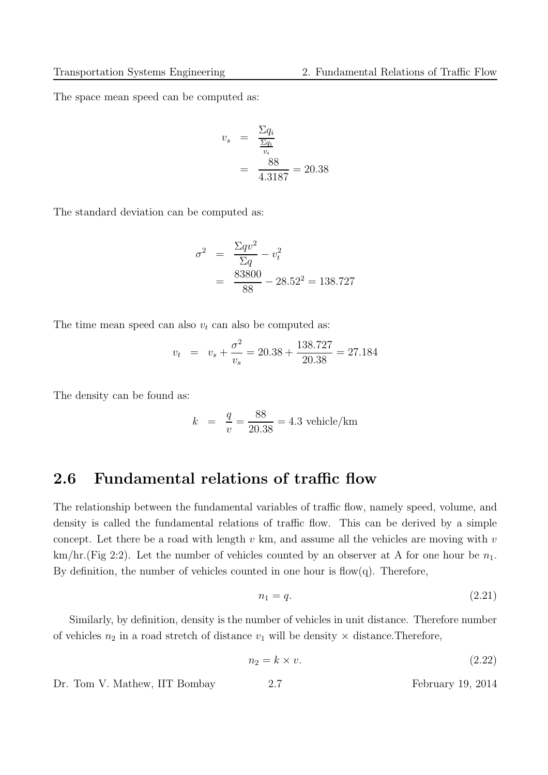The space mean speed can be computed as:

$$
v_s = \frac{\Sigma q_i}{\frac{\Sigma q_i}{v_i}}
$$

$$
= \frac{88}{4.3187} = 20.38
$$

The standard deviation can be computed as:

$$
\sigma^2 = \frac{\Sigma q v^2}{\Sigma q} - v_t^2
$$
  
= 
$$
\frac{83800}{88} - 28.52^2 = 138.727
$$

The time mean speed can also  $v_t$  can also be computed as:

$$
v_t = v_s + \frac{\sigma^2}{v_s} = 20.38 + \frac{138.727}{20.38} = 27.184
$$

The density can be found as:

$$
k = \frac{q}{v} = \frac{88}{20.38} = 4.3
$$
 vehicle/km

### 2.6 Fundamental relations of traffic flow

The relationship between the fundamental variables of traffic flow, namely speed, volume, and density is called the fundamental relations of traffic flow. This can be derived by a simple concept. Let there be a road with length  $v \text{ km}$ , and assume all the vehicles are moving with  $v$  $km/hr.(Fig 2:2).$  Let the number of vehicles counted by an observer at A for one hour be  $n_1$ . By definition, the number of vehicles counted in one hour is flow $(q)$ . Therefore,

$$
n_1 = q.\t\t(2.21)
$$

Similarly, by definition, density is the number of vehicles in unit distance. Therefore number of vehicles  $n_2$  in a road stretch of distance  $v_1$  will be density  $\times$  distance. Therefore,

$$
n_2 = k \times v. \tag{2.22}
$$

Dr. Tom V. Mathew, IIT Bombay 2.7 February 19, 2014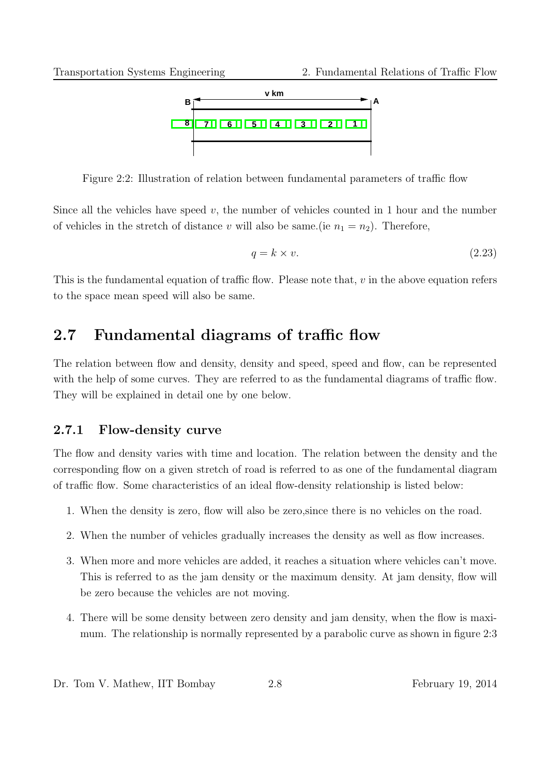

Figure 2:2: Illustration of relation between fundamental parameters of traffic flow

Since all the vehicles have speed  $v$ , the number of vehicles counted in 1 hour and the number of vehicles in the stretch of distance v will also be same. (ie  $n_1 = n_2$ ). Therefore,

$$
q = k \times v. \tag{2.23}
$$

This is the fundamental equation of traffic flow. Please note that,  $v$  in the above equation refers to the space mean speed will also be same.

# 2.7 Fundamental diagrams of traffic flow

The relation between flow and density, density and speed, speed and flow, can be represented with the help of some curves. They are referred to as the fundamental diagrams of traffic flow. They will be explained in detail one by one below.

### 2.7.1 Flow-density curve

The flow and density varies with time and location. The relation between the density and the corresponding flow on a given stretch of road is referred to as one of the fundamental diagram of traffic flow. Some characteristics of an ideal flow-density relationship is listed below:

- 1. When the density is zero, flow will also be zero,since there is no vehicles on the road.
- 2. When the number of vehicles gradually increases the density as well as flow increases.
- 3. When more and more vehicles are added, it reaches a situation where vehicles can't move. This is referred to as the jam density or the maximum density. At jam density, flow will be zero because the vehicles are not moving.
- 4. There will be some density between zero density and jam density, when the flow is maximum. The relationship is normally represented by a parabolic curve as shown in figure 2:3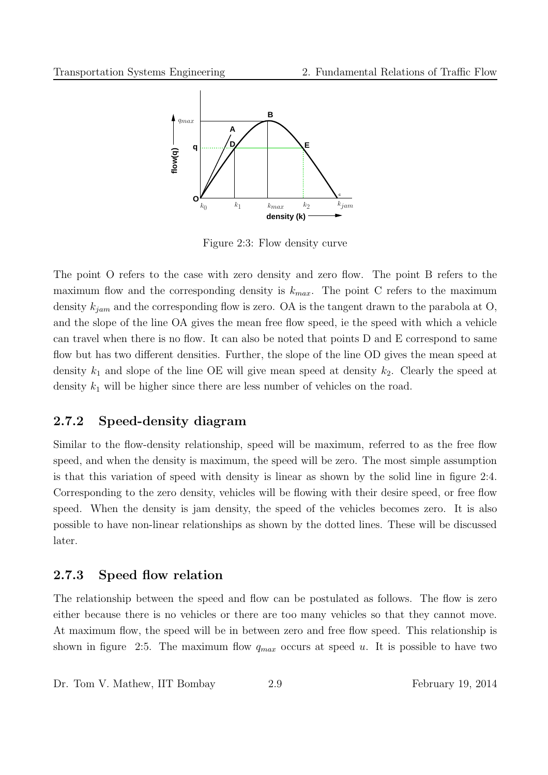

Figure 2:3: Flow density curve

The point O refers to the case with zero density and zero flow. The point B refers to the maximum flow and the corresponding density is  $k_{max}$ . The point C refers to the maximum density  $k_{jam}$  and the corresponding flow is zero. OA is the tangent drawn to the parabola at O, and the slope of the line OA gives the mean free flow speed, ie the speed with which a vehicle can travel when there is no flow. It can also be noted that points D and E correspond to same flow but has two different densities. Further, the slope of the line OD gives the mean speed at density  $k_1$  and slope of the line OE will give mean speed at density  $k_2$ . Clearly the speed at density  $k_1$  will be higher since there are less number of vehicles on the road.

#### 2.7.2 Speed-density diagram

Similar to the flow-density relationship, speed will be maximum, referred to as the free flow speed, and when the density is maximum, the speed will be zero. The most simple assumption is that this variation of speed with density is linear as shown by the solid line in figure 2:4. Corresponding to the zero density, vehicles will be flowing with their desire speed, or free flow speed. When the density is jam density, the speed of the vehicles becomes zero. It is also possible to have non-linear relationships as shown by the dotted lines. These will be discussed later.

#### 2.7.3 Speed flow relation

The relationship between the speed and flow can be postulated as follows. The flow is zero either because there is no vehicles or there are too many vehicles so that they cannot move. At maximum flow, the speed will be in between zero and free flow speed. This relationship is shown in figure 2:5. The maximum flow  $q_{max}$  occurs at speed u. It is possible to have two

Dr. Tom V. Mathew, IIT Bombay 2.9 February 19, 2014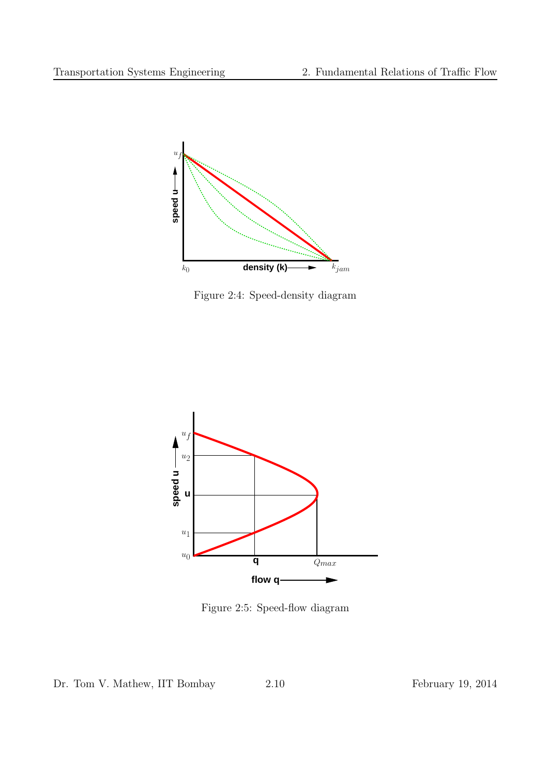

Figure 2:4: Speed-density diagram



Figure 2:5: Speed-flow diagram